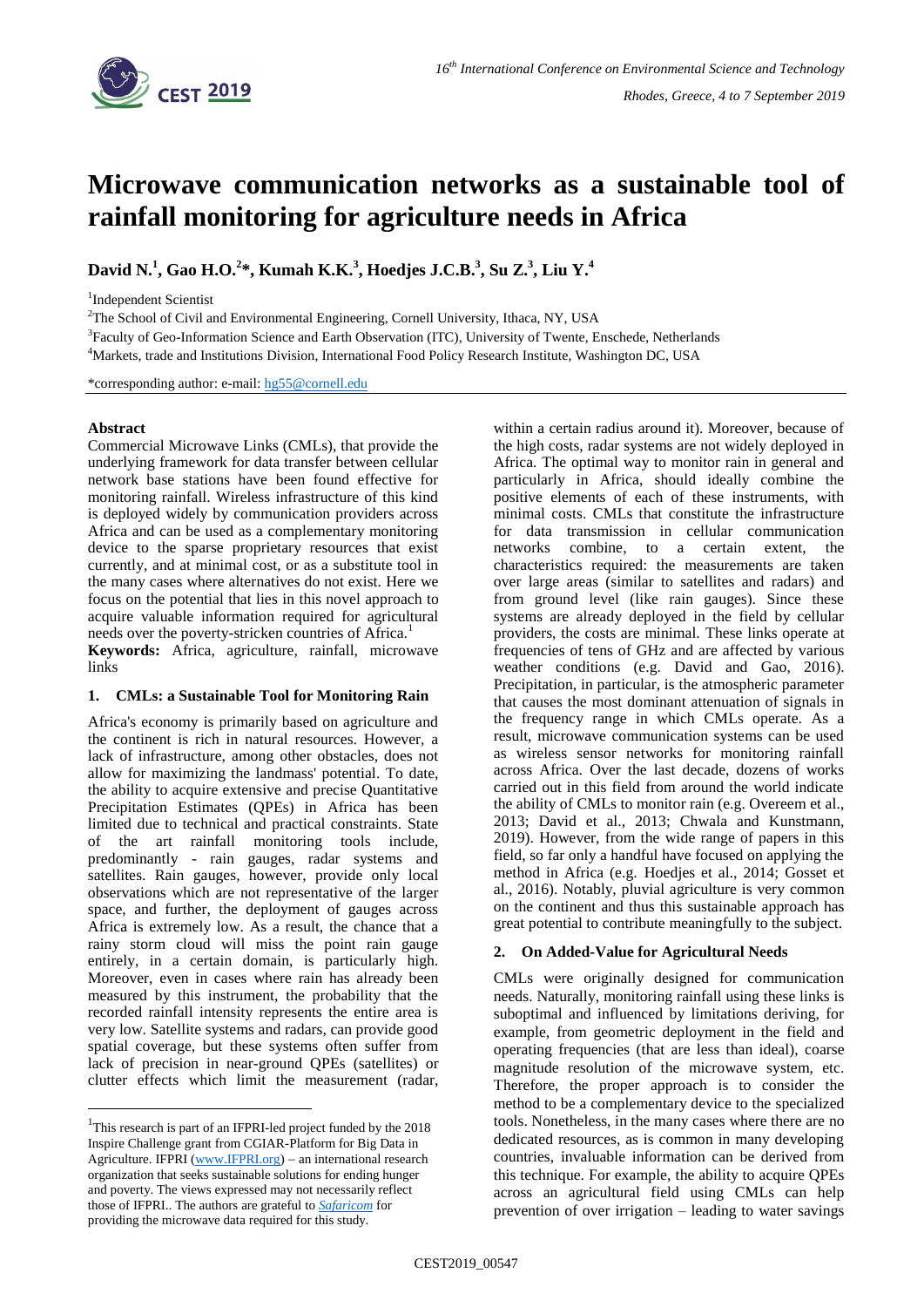

# **Microwave communication networks as a sustainable tool of rainfall monitoring for agriculture needs in Africa**

**David N. 1 , Gao H.O.<sup>2</sup> \*, Kumah K.K.<sup>3</sup> , Hoedjes J.C.B. 3 , Su Z.<sup>3</sup> , Liu Y. 4**

1 Independent Scientist

<sup>2</sup>The School of Civil and Environmental Engineering, Cornell University, Ithaca, NY, USA

<sup>3</sup> Faculty of Geo-Information Science and Earth Observation (ITC), University of Twente, Enschede, Netherlands

<sup>4</sup>Markets, trade and Institutions Division, International Food Policy Research Institute, Washington DC, USA

\*corresponding author: e-mail: [hg55@cornell.edu](mailto:hg55@cornell.edu)

# **Abstract**

1

Commercial Microwave Links (CMLs), that provide the underlying framework for data transfer between cellular network base stations have been found effective for monitoring rainfall. Wireless infrastructure of this kind is deployed widely by communication providers across Africa and can be used as a complementary monitoring device to the sparse proprietary resources that exist currently, and at minimal cost, or as a substitute tool in the many cases where alternatives do not exist. Here we focus on the potential that lies in this novel approach to acquire valuable information required for agricultural needs over the poverty-stricken countries of Africa.<sup>1</sup>

**Keywords:** Africa, agriculture, rainfall, microwave links

# **1. CMLs: a Sustainable Tool for Monitoring Rain**

Africa's economy is primarily based on agriculture and the continent is rich in natural resources. However, a lack of infrastructure, among other obstacles, does not allow for maximizing the landmass' potential. To date, the ability to acquire extensive and precise Quantitative Precipitation Estimates (QPEs) in Africa has been limited due to technical and practical constraints. State of the art rainfall monitoring tools include, predominantly - rain gauges, radar systems and satellites. Rain gauges, however, provide only local observations which are not representative of the larger space, and further, the deployment of gauges across Africa is extremely low. As a result, the chance that a rainy storm cloud will miss the point rain gauge entirely, in a certain domain, is particularly high. Moreover, even in cases where rain has already been measured by this instrument, the probability that the recorded rainfall intensity represents the entire area is very low. Satellite systems and radars, can provide good spatial coverage, but these systems often suffer from lack of precision in near-ground QPEs (satellites) or clutter effects which limit the measurement (radar,

within a certain radius around it). Moreover, because of the high costs, radar systems are not widely deployed in Africa. The optimal way to monitor rain in general and particularly in Africa, should ideally combine the positive elements of each of these instruments, with minimal costs. CMLs that constitute the infrastructure for data transmission in cellular communication networks combine, to a certain extent, the characteristics required: the measurements are taken over large areas (similar to satellites and radars) and from ground level (like rain gauges). Since these systems are already deployed in the field by cellular providers, the costs are minimal. These links operate at frequencies of tens of GHz and are affected by various weather conditions (e.g. David and Gao, 2016). Precipitation, in particular, is the atmospheric parameter that causes the most dominant attenuation of signals in the frequency range in which CMLs operate. As a result, microwave communication systems can be used as wireless sensor networks for monitoring rainfall across Africa. Over the last decade, dozens of works carried out in this field from around the world indicate the ability of CMLs to monitor rain (e.g. Overeem et al., 2013; David et al., 2013; Chwala and Kunstmann, 2019). However, from the wide range of papers in this field, so far only a handful have focused on applying the method in Africa (e.g. Hoedjes et al., 2014; Gosset et al., 2016). Notably, pluvial agriculture is very common on the continent and thus this sustainable approach has great potential to contribute meaningfully to the subject.

# **2. On Added-Value for Agricultural Needs**

CMLs were originally designed for communication needs. Naturally, monitoring rainfall using these links is suboptimal and influenced by limitations deriving, for example, from geometric deployment in the field and operating frequencies (that are less than ideal), coarse magnitude resolution of the microwave system, etc. Therefore, the proper approach is to consider the method to be a complementary device to the specialized tools. Nonetheless, in the many cases where there are no dedicated resources, as is common in many developing countries, invaluable information can be derived from this technique. For example, the ability to acquire QPEs across an agricultural field using CMLs can help prevention of over irrigation – leading to water savings

<sup>&</sup>lt;sup>1</sup>This research is part of an IFPRI-led project funded by the 2018 Inspire Challenge grant from CGIAR-Platform for Big Data in Agriculture. IFPRI [\(www.IFPRI.org\)](http://www.ifpri.org/)  $-$  an international research organization that seeks sustainable solutions for ending hunger and poverty. The views expressed may not necessarily reflect those of IFPRI.. The authors are grateful to *[Safaricom](https://www.safaricom.co.ke/)* for providing the microwave data required for this study.